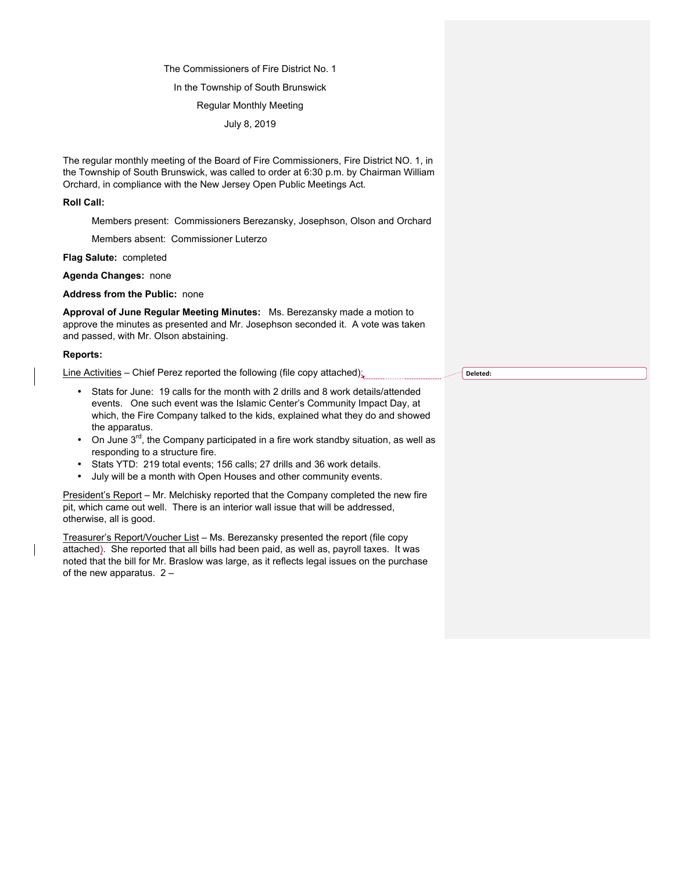### The Commissioners of Fire District No. 1

## In the Township of South Brunswick

# Regular Monthly Meeting

July 8, 2019

The regular monthly meeting of the Board of Fire Commissioners, Fire District NO. 1, in the Township of South Brunswick, was called to order at 6:30 p.m. by Chairman William Orchard, in compliance with the New Jersey Open Public Meetings Act.

#### **Roll Call:**

Members present: Commissioners Berezansky, Josephson, Olson and Orchard

Members absent: Commissioner Luterzo

**Flag Salute:** completed

**Agenda Changes:** none

**Address from the Public:** none

**Approval of June Regular Meeting Minutes:** Ms. Berezansky made a motion to approve the minutes as presented and Mr. Josephson seconded it. A vote was taken and passed, with Mr. Olson abstaining.

## **Reports:**

Line Activities – Chief Perez reported the following (file copy attached);

- Stats for June: 19 calls for the month with 2 drills and 8 work details/attended events. One such event was the Islamic Center's Community Impact Day, at which, the Fire Company talked to the kids, explained what they do and showed the apparatus.
- On June  $3^{rd}$ , the Company participated in a fire work standby situation, as well as responding to a structure fire.
- Stats YTD: 219 total events; 156 calls; 27 drills and 36 work details.
- July will be a month with Open Houses and other community events.

President's Report - Mr. Melchisky reported that the Company completed the new fire pit, which came out well. There is an interior wall issue that will be addressed, otherwise, all is good.

Treasurer's Report/Voucher List – Ms. Berezansky presented the report (file copy attached). She reported that all bills had been paid, as well as, payroll taxes. It was noted that the bill for Mr. Braslow was large, as it reflects legal issues on the purchase of the new apparatus. 2 –

**Deleted:**